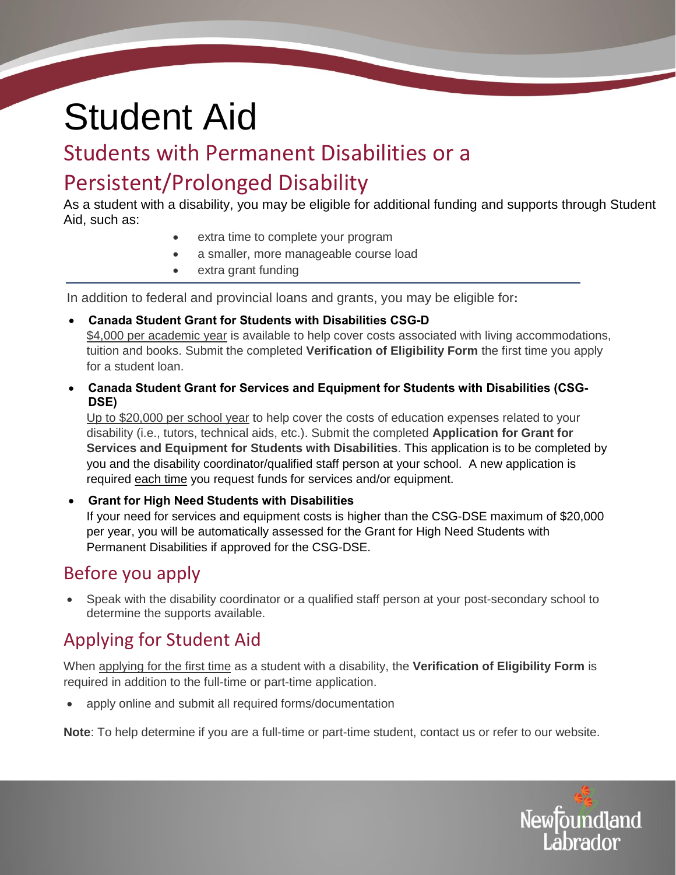# Student Aid

# Students with Permanent Disabilities or a

# Persistent/Prolonged Disability

As a student with a disability, you may be eligible for additional funding and supports through Student Aid, such as:

- extra time to complete your program
- a smaller, more manageable course load
- extra grant funding

In addition to federal and provincial loans and grants, you may be eligible for**:** 

- **Canada Student Grant for Students with Disabilities CSG-D** \$4,000 per academic year is available to help cover costs associated with living accommodations, tuition and books. Submit the completed **Verification of Eligibility Form** the first time you apply for a student loan.
- **Canada Student Grant for Services and Equipment for Students with Disabilities (CSG-DSE)**

Up to \$20,000 per school year to help cover the costs of education expenses related to your disability (i.e., tutors, technical aids, etc.). Submit the completed **Application for Grant for Services and Equipment for Students with Disabilities**. This application is to be completed by you and the disability coordinator/qualified staff person at your school. A new application is required each time you request funds for services and/or equipment.

 **Grant for High Need Students with Disabilities**  If your need for services and equipment costs is higher than the CSG-DSE maximum of \$20,000 per year, you will be automatically assessed for the Grant for High Need Students with Permanent Disabilities if approved for the CSG-DSE.

## Before you apply

 Speak with the disability coordinator or a qualified staff person at your post-secondary school to determine the supports available.

## Applying for Student Aid

When applying for the first time as a student with a disability, the **Verification of Eligibility Form** is required in addition to the full-time or part-time application.

apply online and submit all required forms/documentation

**Note**: To help determine if you are a full-time or part-time student, contact us or refer to our website.